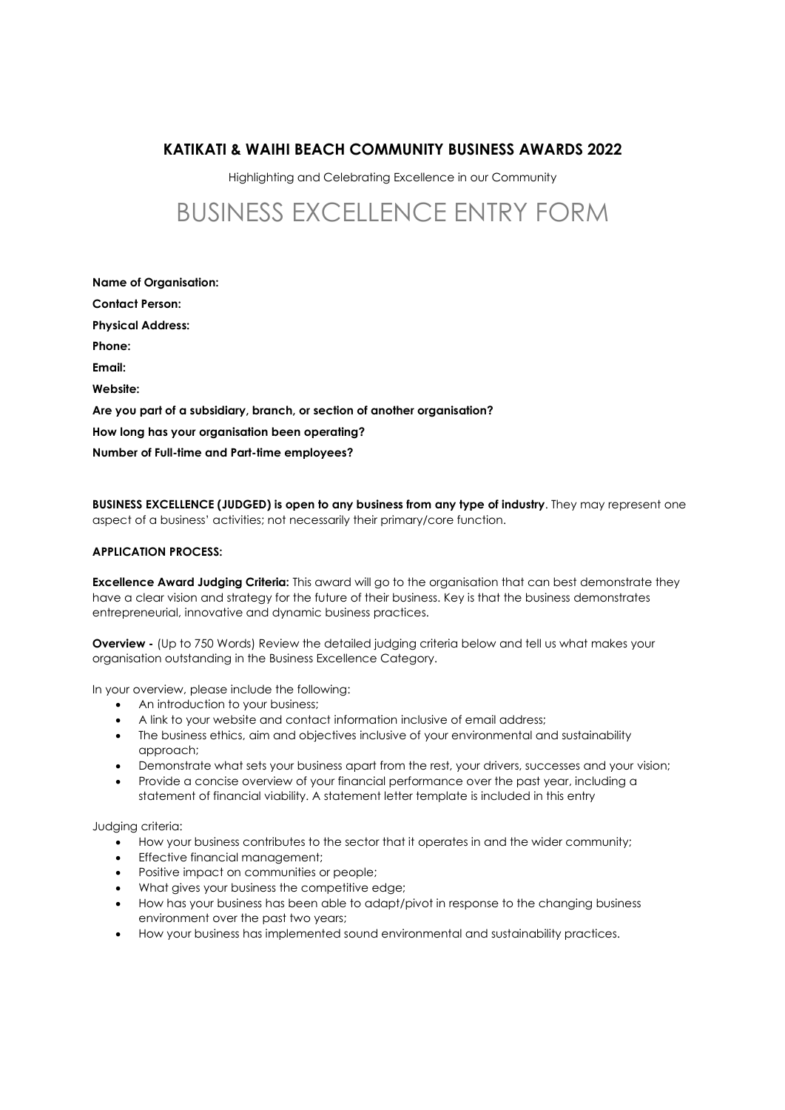# KATIKATI & WAIHI BEACH COMMUNITY BUSINESS AWARDS 2022

Highlighting and Celebrating Excellence in our Community

# BUSINESS EXCELLENCE ENTRY FORM

| <b>Name of Organisation:</b>                                              |
|---------------------------------------------------------------------------|
| <b>Contact Person:</b>                                                    |
| <b>Physical Address:</b>                                                  |
| Phone:                                                                    |
| Email:                                                                    |
| Website:                                                                  |
| Are you part of a subsidiary, branch, or section of another organisation? |
| How long has your organisation been operating?                            |
| Number of Full-time and Part-time employees?                              |

BUSINESS EXCELLENCE (JUDGED) is open to any business from any type of industry. They may represent one aspect of a business' activities; not necessarily their primary/core function.

# APPLICATION PROCESS:

**Excellence Award Judging Criteria:** This award will go to the organisation that can best demonstrate they have a clear vision and strategy for the future of their business. Key is that the business demonstrates entrepreneurial, innovative and dynamic business practices.

Overview - (Up to 750 Words) Review the detailed judging criteria below and tell us what makes your organisation outstanding in the Business Excellence Category.

In your overview, please include the following:

- An introduction to your business;
- A link to your website and contact information inclusive of email address;
- The business ethics, aim and objectives inclusive of your environmental and sustainability approach;
- Demonstrate what sets your business apart from the rest, your drivers, successes and your vision;
- Provide a concise overview of your financial performance over the past year, including a statement of financial viability. A statement letter template is included in this entry

Judging criteria:

- How your business contributes to the sector that it operates in and the wider community;
- Effective financial management;
- Positive impact on communities or people;
- What gives your business the competitive edge;
- How has your business has been able to adapt/pivot in response to the changing business environment over the past two years;
- How your business has implemented sound environmental and sustainability practices.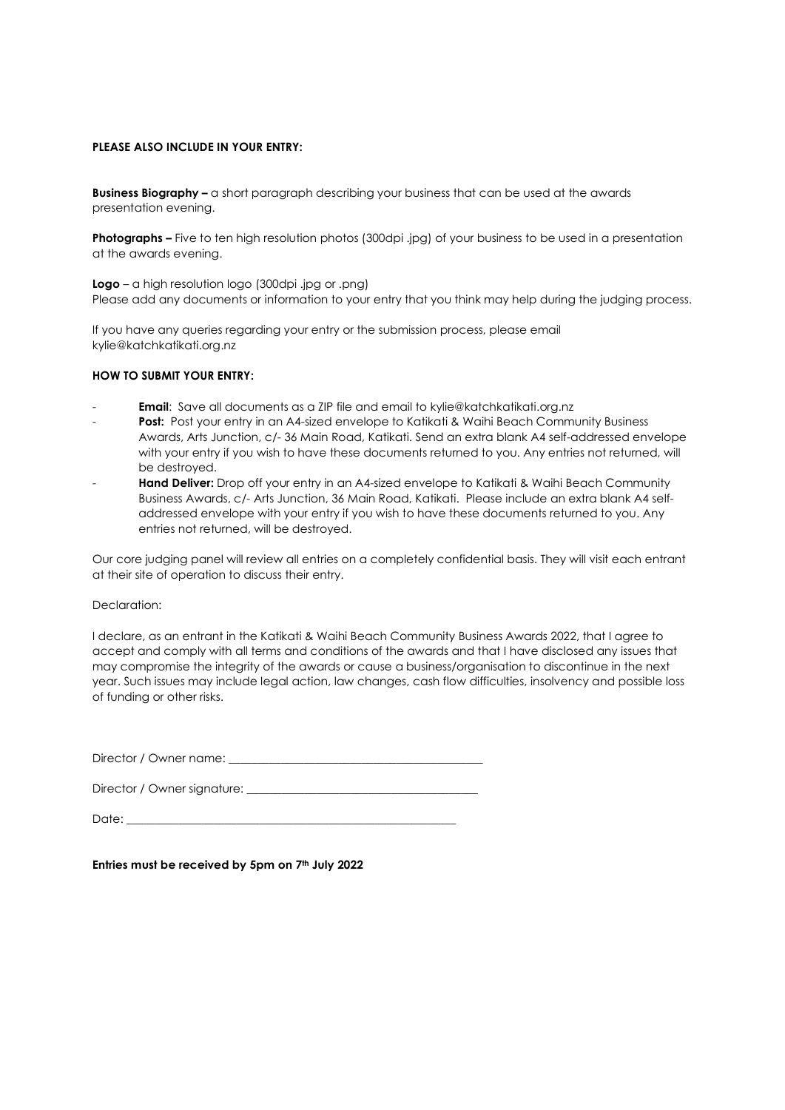## PLEASE ALSO INCLUDE IN YOUR ENTRY:

**Business Biography –** a short paragraph describing your business that can be used at the awards presentation evening.

Photographs – Five to ten high resolution photos (300dpi .jpg) of your business to be used in a presentation at the awards evening.

Logo – a high resolution logo (300dpi .jpg or .png) Please add any documents or information to your entry that you think may help during the judging process.

If you have any queries regarding your entry or the submission process, please email kylie@katchkatikati.org.nz

#### HOW TO SUBMIT YOUR ENTRY:

- Email: Save all documents as a ZIP file and email to kylie@katchkatikati.org.nz
- Post: Post your entry in an A4-sized envelope to Katikati & Waihi Beach Community Business Awards, Arts Junction, c/- 36 Main Road, Katikati. Send an extra blank A4 self-addressed envelope with your entry if you wish to have these documents returned to you. Any entries not returned, will be destroyed.
- Hand Deliver: Drop off your entry in an A4-sized envelope to Katikati & Waihi Beach Community Business Awards, c/- Arts Junction, 36 Main Road, Katikati. Please include an extra blank A4 selfaddressed envelope with your entry if you wish to have these documents returned to you. Any entries not returned, will be destroyed.

Our core judging panel will review all entries on a completely confidential basis. They will visit each entrant at their site of operation to discuss their entry.

#### Declaration:

I declare, as an entrant in the Katikati & Waihi Beach Community Business Awards 2022, that I agree to accept and comply with all terms and conditions of the awards and that I have disclosed any issues that may compromise the integrity of the awards or cause a business/organisation to discontinue in the next year. Such issues may include legal action, law changes, cash flow difficulties, insolvency and possible loss of funding or other risks.

Director / Owner name:

Director / Owner signature:

Date: \_\_\_\_\_\_\_\_\_\_\_\_\_\_\_\_\_\_\_\_\_\_\_\_\_\_\_\_\_\_\_\_\_\_\_\_\_\_\_\_\_\_\_\_\_\_\_\_\_\_\_\_\_\_\_\_\_

Entries must be received by 5pm on  $7<sup>th</sup>$  July 2022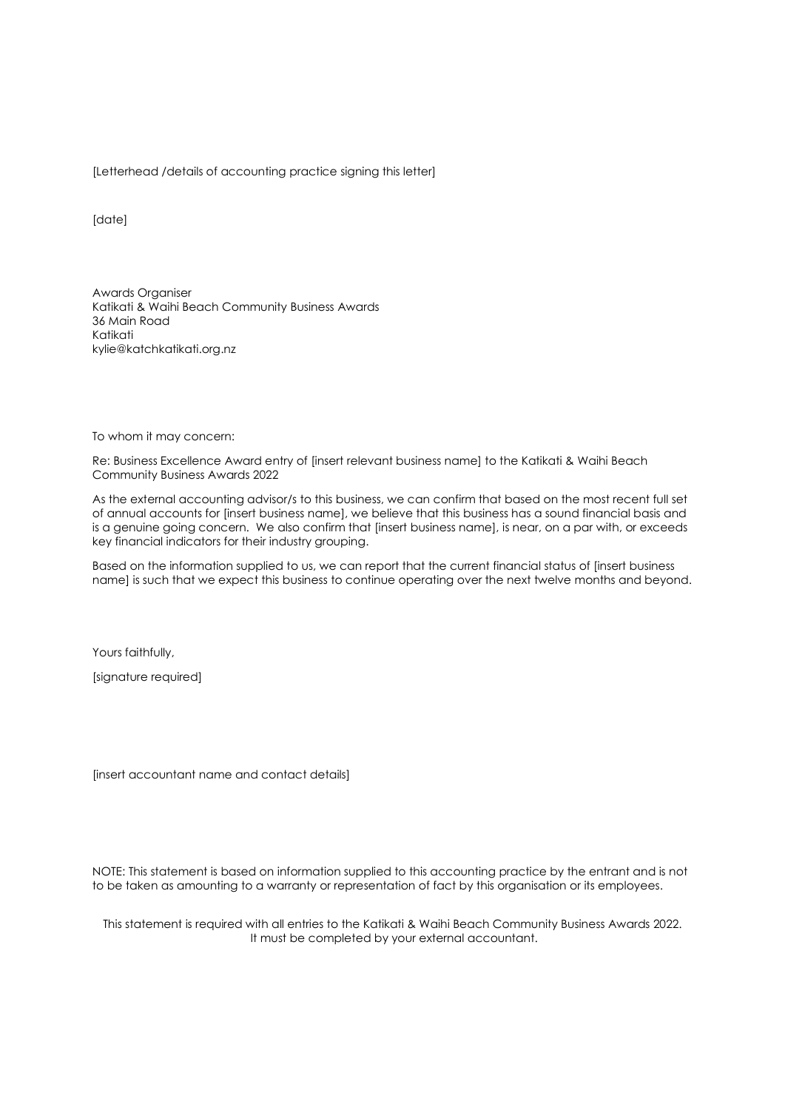[Letterhead /details of accounting practice signing this letter]

[date]

Awards Organiser Katikati & Waihi Beach Community Business Awards 36 Main Road Katikati kylie@katchkatikati.org.nz

To whom it may concern:

Re: Business Excellence Award entry of [insert relevant business name] to the Katikati & Waihi Beach Community Business Awards 2022

As the external accounting advisor/s to this business, we can confirm that based on the most recent full set of annual accounts for [insert business name], we believe that this business has a sound financial basis and is a genuine going concern. We also confirm that [insert business name], is near, on a par with, or exceeds key financial indicators for their industry grouping.

Based on the information supplied to us, we can report that the current financial status of [insert business name] is such that we expect this business to continue operating over the next twelve months and beyond.

Yours faithfully,

[signature required]

[insert accountant name and contact details]

NOTE: This statement is based on information supplied to this accounting practice by the entrant and is not to be taken as amounting to a warranty or representation of fact by this organisation or its employees.

This statement is required with all entries to the Katikati & Waihi Beach Community Business Awards 2022. It must be completed by your external accountant.